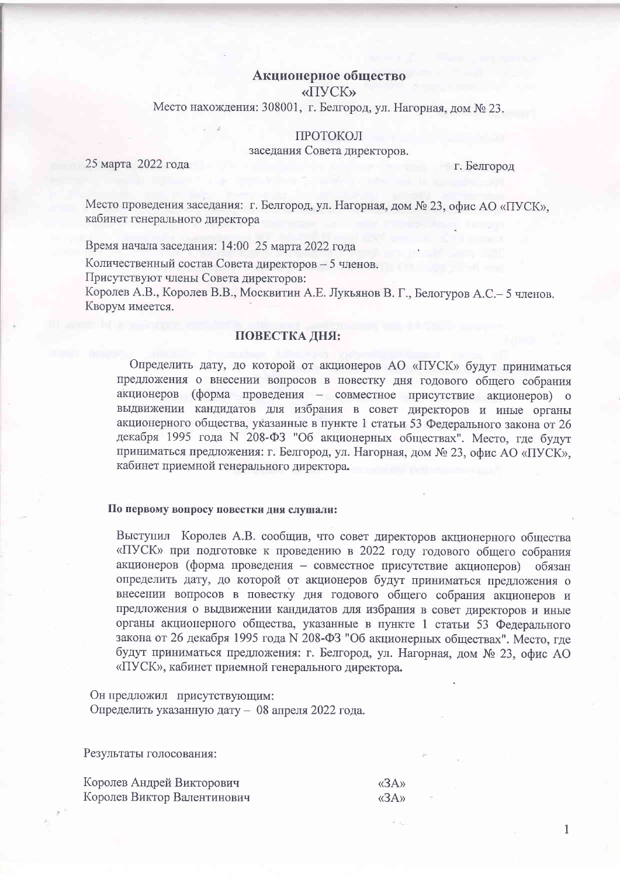# Акционерное общество

«ПУСК»

Место нахождения: 308001, г. Белгород, ул. Нагорная, дом № 23.

## ПРОТОКОЛ

заседания Совета директоров.

25 марта 2022 года

г. Белгород

Место проведения заседания: г. Белгород, ул. Нагорная, дом № 23, офис АО «ПУСК», кабинет генерального директора

Время начала заседания: 14:00 25 марта 2022 года

Количественный состав Совета директоров - 5 членов.

Присутствуют члены Совета директоров:

Королев А.В., Королев В.В., Москвитин А.Е. Лукьянов В.Г., Белогуров А.С. - 5 членов. Кворум имеется.

## ПОВЕСТКА ДНЯ:

Определить дату, до которой от акционеров АО «ПУСК» будут приниматься предложения о внесении вопросов в повестку дня годового общего собрания акционеров (форма проведения - совместное присутствие акционеров) о выдвижении кандидатов для избрания в совет директоров и иные органы акционерного общества, указанные в пункте 1 статьи 53 Федерального закона от 26 декабря 1995 года N 208-ФЗ "Об акционерных обществах". Место, где будут приниматься предложения: г. Белгород, ул. Нагорная, дом № 23, офис АО «ПУСК», кабинет приемной генерального директора.

### По первому вопросу повестки дня слушали:

Выступил Королев А.В. сообщив, что совет директоров акционерного общества «ПУСК» при подготовке к проведению в 2022 году годового общего собрания акционеров (форма проведения – совместное присутствие акционеров) обязан определить дату, до которой от акционеров будут приниматься предложения о внесении вопросов в повестку дня годового общего собрания акционеров и предложения о выдвижении кандидатов для избрания в совет лиректоров и иные органы акционерного общества, указанные в пункте 1 статьи 53 Фелерального закона от 26 декабря 1995 года N 208-ФЗ "Об акционерных обществах". Место, гле будут приниматься предложения: г. Белгород, ул. Нагорная, дом № 23, офис АО «ПУСК», кабинет приемной генерального директора.

 $\alpha$ <sub>3</sub>A<sub>y</sub>

 $\langle \langle 3A \rangle \rangle$ 

 $\mathbf{1}$ 

Он предложил присутствующим: Определить указанную дату - 08 апреля 2022 года.

Результаты голосования:

Королев Андрей Викторович Королев Виктор Валентинович